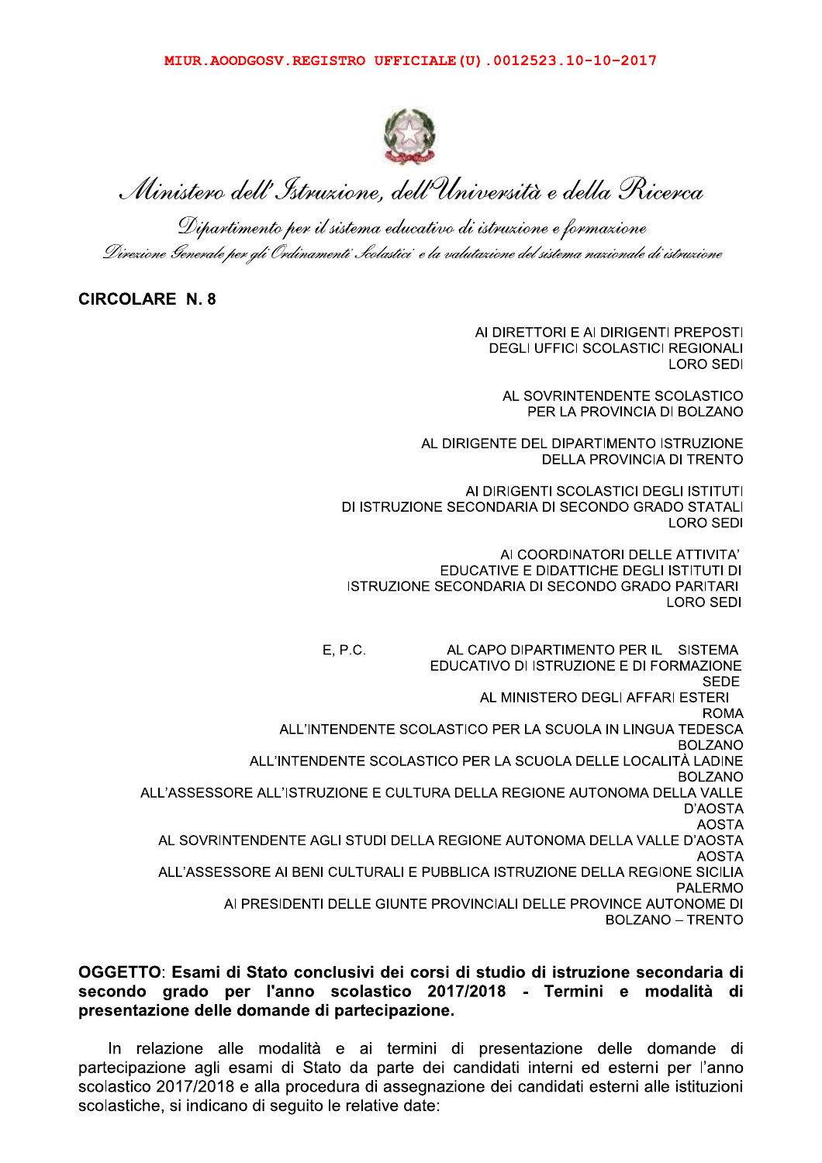

MITUR. AOODGOSV. REGISTRO UPPICIALE (0) . 0012523.10-10-2017<br>
Witters and the comparable of the comparable of the comparable of the comparable of the comparable of the comparable of the comparable of the comparable distanc

### CIRCOLARE N. 8

AI DIRETTORI E AI DIRIGENTI PREPOSTI DEGLI UFFICI SCOLASTICI REGIONALI LORO SEDI

> AL SOVRINTENDENTE SCOLASTICO PER LA PROVINCIA DI BOLZANO

AL DIRIGENTE DEL DIPARTIMENTO ISTRUZIONE DELLA PROVINCIA DI TRENTO

AI DIRIGENTI SCOLASTICI DEGLI ISTITUTI DI ISTRUZIONE SECONDARIA DI SECONDO GRADO STATALI LORO SEDI

AI COORDINATORI DELLE ATTIVITA' EDUCATIVE E DIDATTICHE DEGLI ISTITUTI DI ISTRUZIONE SECONDARIA DI SECONDO GRADO PARITARI<br>LORO SEDI V V V V V V VOJET VOJE VRATNO VRATNJE VRATNJE VOJE VRATNJE VOJE V VOJE VIJE V VOJE VIJE V VOJE VIJE V VOJE VIJ<br>Za vije voje vratnje voje vratnje voje vratnje vratnje vratnje vratnje vratnje vratnje vratnje vratnje vratnje

E, P.C. AL CAPO DIPARTIMENTO PER IL SISTEMA EDUCATIVO DI ISTRUZIONE E DI FORMAZIONE<br>SEDE VVVVVVVVVVVVVVVVVVVVVVVVVVVVVVVVVVVVVVVVVVVVVVVVVVVVVVVVVVVVVVVVVVVVVVVVVVVVVVVVVVVVVVVVVVVVVVVVVVVa[Y[V AL MINISTERO DEGLI AFFARI ESTERI ROMA ALL'INTENDENTE SCOLASTICO PER LA SCUOLA IN LINGUA TEDESCA BOLZANO ALL'INTENDENTE SCOLASTICO PER LA SCUOLA DELLE LOCALITÀ LADINE<br>BOLZANO ALL'ASSESSORE ALL'ISTRUZIONE E CULTURA DELLA REGIONE AUTONOMA DELLA VALLE D'AOSTA **AOSTA** AL SOVRINTENDENTE AGLI STUDI DELLA REGIONE AUTONOMA DELLA VALLE D'AOSTA<br>AOSTA ALL'ASSESSORE AI BENI CULTURALI E PUBBLICA ISTRUZIONE DELLA REGIONE SICILIA PALERMO AI PRESIDENTI DELLE GIUNTE PROVINCIALI DELLE PROVINCE AUTONOME DI BOLZANO – TRENTO

### OGGETTO: Esami di Stato conclusivi dei corsi di studio di istruzione secondaria di secondo grado per l'anno scolastico 2017/2018 - Termini e modalità di presentazione delle domande di partecipazione.

In relazione alle modalità e ai termini di presentazione delle domande di partecipazione agli esami di Stato da parte dei candidati interni ed esterni per l'anno  $s$ colastico 2017/2018 e alla procedura di assegnazione dei candidati esterni alle istituzioni scolastiche, si indicano di sequito le relative date: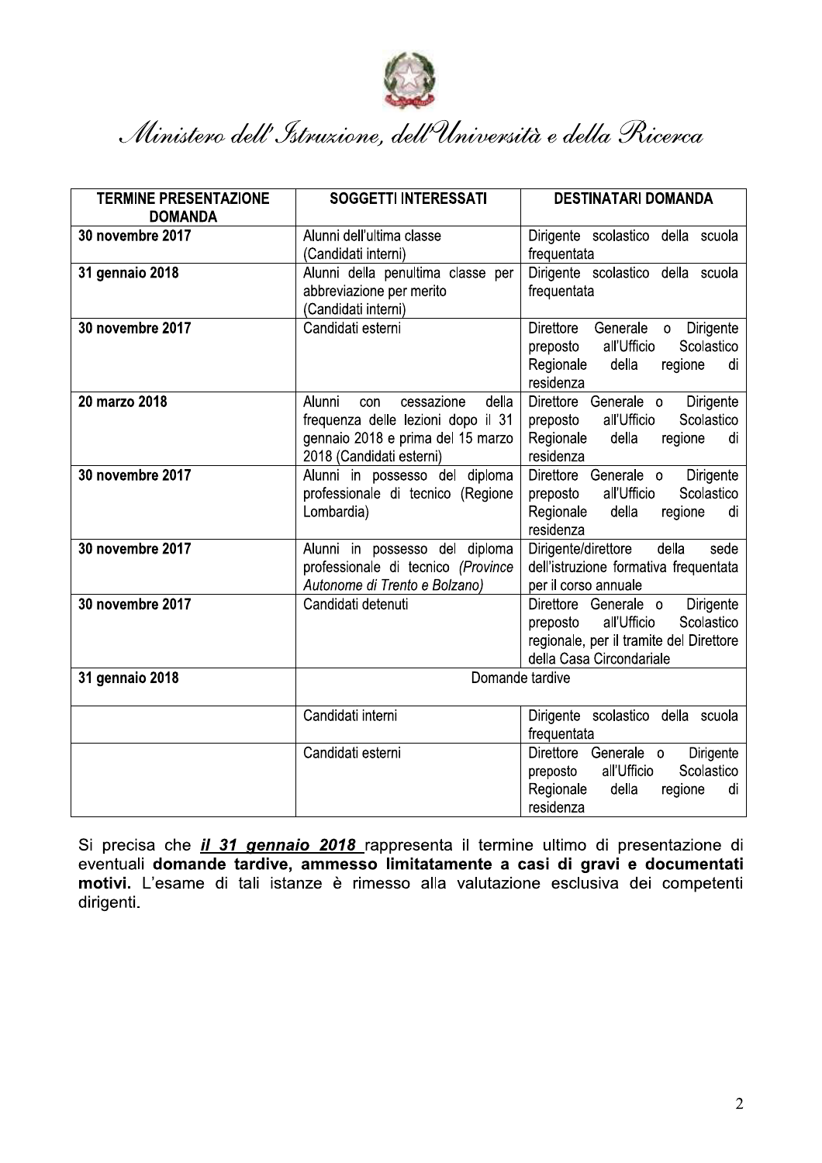

| <b>SOGGETTI INTERESSATI</b>        | <b>DESTINATARI DOMANDA</b>                                                                                                                                                                                                                                                                                                                                                                                                                                                           |
|------------------------------------|--------------------------------------------------------------------------------------------------------------------------------------------------------------------------------------------------------------------------------------------------------------------------------------------------------------------------------------------------------------------------------------------------------------------------------------------------------------------------------------|
|                                    |                                                                                                                                                                                                                                                                                                                                                                                                                                                                                      |
|                                    | Dirigente scolastico della scuola                                                                                                                                                                                                                                                                                                                                                                                                                                                    |
|                                    | frequentata                                                                                                                                                                                                                                                                                                                                                                                                                                                                          |
|                                    | Dirigente scolastico della scuola                                                                                                                                                                                                                                                                                                                                                                                                                                                    |
|                                    | frequentata                                                                                                                                                                                                                                                                                                                                                                                                                                                                          |
|                                    |                                                                                                                                                                                                                                                                                                                                                                                                                                                                                      |
|                                    | Direttore<br>Generale<br>Dirigente<br>$\circ$                                                                                                                                                                                                                                                                                                                                                                                                                                        |
|                                    | Scolastico<br>all'Ufficio<br>preposto                                                                                                                                                                                                                                                                                                                                                                                                                                                |
|                                    | Regionale<br>della<br>regione<br>di                                                                                                                                                                                                                                                                                                                                                                                                                                                  |
|                                    | residenza                                                                                                                                                                                                                                                                                                                                                                                                                                                                            |
|                                    | Direttore Generale o<br>Dirigente<br>Scolastico<br>all'Ufficio                                                                                                                                                                                                                                                                                                                                                                                                                       |
|                                    | preposto<br>Regionale<br>della<br>regione<br>di                                                                                                                                                                                                                                                                                                                                                                                                                                      |
|                                    | residenza                                                                                                                                                                                                                                                                                                                                                                                                                                                                            |
|                                    | Direttore Generale o<br>Dirigente                                                                                                                                                                                                                                                                                                                                                                                                                                                    |
|                                    | all'Ufficio<br>Scolastico<br>preposto                                                                                                                                                                                                                                                                                                                                                                                                                                                |
|                                    | Regionale<br>della<br>regione<br>di                                                                                                                                                                                                                                                                                                                                                                                                                                                  |
|                                    | residenza                                                                                                                                                                                                                                                                                                                                                                                                                                                                            |
| Alunni in possesso del diploma     | della<br>Dirigente/direttore<br>sede                                                                                                                                                                                                                                                                                                                                                                                                                                                 |
| professionale di tecnico (Province | dell'istruzione formativa frequentata                                                                                                                                                                                                                                                                                                                                                                                                                                                |
| Autonome di Trento e Bolzano)      | per il corso annuale                                                                                                                                                                                                                                                                                                                                                                                                                                                                 |
|                                    | Direttore Generale o<br>Dirigente                                                                                                                                                                                                                                                                                                                                                                                                                                                    |
|                                    | Scolastico<br>all'Ufficio<br>preposto                                                                                                                                                                                                                                                                                                                                                                                                                                                |
|                                    | regionale, per il tramite del Direttore                                                                                                                                                                                                                                                                                                                                                                                                                                              |
|                                    | della Casa Circondariale                                                                                                                                                                                                                                                                                                                                                                                                                                                             |
|                                    |                                                                                                                                                                                                                                                                                                                                                                                                                                                                                      |
|                                    |                                                                                                                                                                                                                                                                                                                                                                                                                                                                                      |
|                                    | Dirigente scolastico della scuola                                                                                                                                                                                                                                                                                                                                                                                                                                                    |
|                                    | frequentata<br>Direttore Generale o                                                                                                                                                                                                                                                                                                                                                                                                                                                  |
|                                    | Dirigente<br>all'Ufficio<br>Scolastico<br>preposto                                                                                                                                                                                                                                                                                                                                                                                                                                   |
|                                    | Regionale<br>della<br>regione<br>di                                                                                                                                                                                                                                                                                                                                                                                                                                                  |
|                                    | residenza                                                                                                                                                                                                                                                                                                                                                                                                                                                                            |
|                                    | Alunni dell'ultima classe<br>(Candidati interni)<br>Alunni della penultima classe per<br>abbreviazione per merito<br>(Candidati interni)<br>Candidati esterni<br>Alunni<br>cessazione<br>della<br>con<br>frequenza delle lezioni dopo il 31<br>gennaio 2018 e prima del 15 marzo<br>2018 (Candidati esterni)<br>Alunni in possesso del diploma<br>professionale di tecnico (Regione<br>Lombardia)<br>Candidati detenuti<br>Domande tardive<br>Candidati interni<br>Candidati esterni |

Si precisa che *il 31 gennaio 2018* rappresenta il termine ultimo di presentazione di eventuali domande tardive, ammesso limitatamente a casi di gravi e documentati motivi. L'esame di tali istanze è rimesso alla valutazione esclusiva dei competenti dirigenti.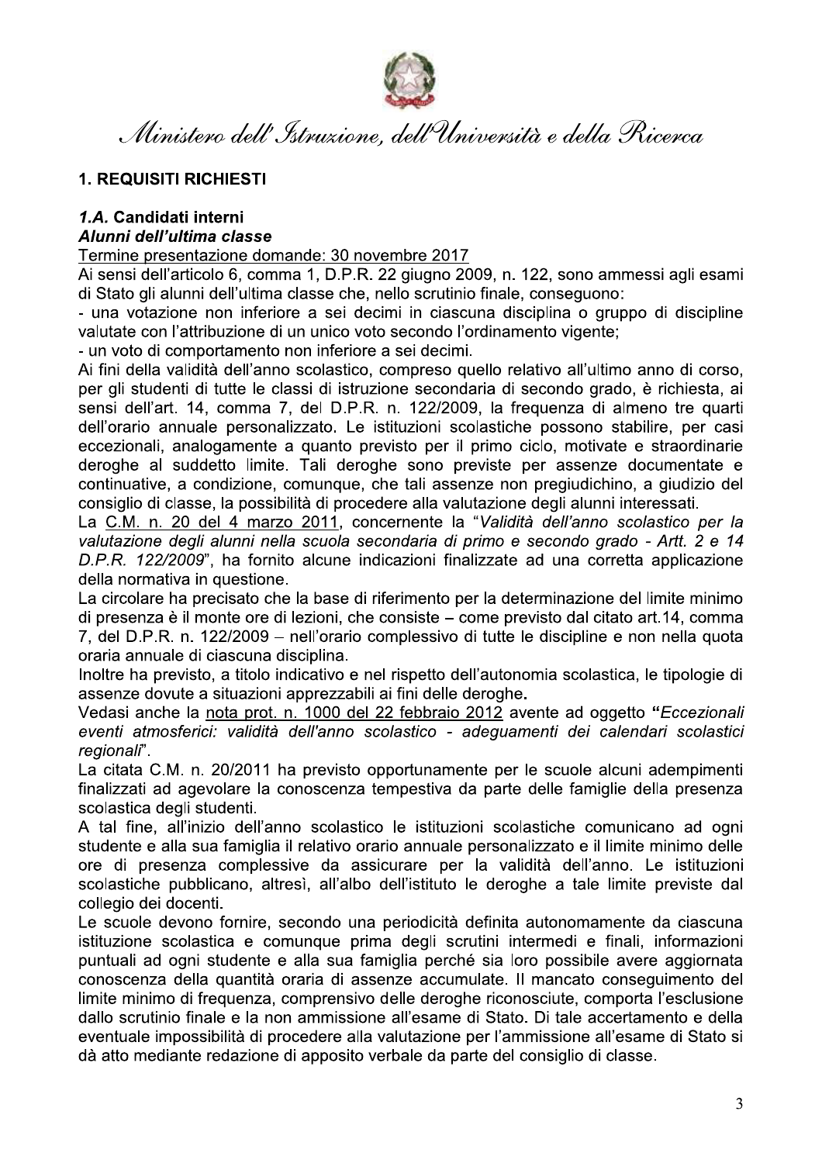

Ministero dell'Istruzione, dell'Università e della Ricerca

## **1. REQUISITI RICHIESTI**

# 1.A. Candidati interni

# Alunni dell'ultima classe

Termine presentazione domande: 30 novembre 2017

Ai sensi dell'articolo 6, comma 1, D.P.R. 22 giugno 2009, n. 122, sono ammessi agli esami di Stato gli alunni dell'ultima classe che, nello scrutinio finale, conseguono:

- una votazione non inferiore a sei decimi in ciascuna disciplina o gruppo di discipline valutate con l'attribuzione di un unico voto secondo l'ordinamento vigente:

- un voto di comportamento non inferiore a sei decimi.

Ai fini della validità dell'anno scolastico, compreso quello relativo all'ultimo anno di corso, per gli studenti di tutte le classi di istruzione secondaria di secondo grado, è richiesta, ai sensi dell'art. 14, comma 7, del D.P.R. n. 122/2009, la frequenza di almeno tre quarti dell'orario annuale personalizzato. Le istituzioni scolastiche possono stabilire, per casi eccezionali, analogamente a quanto previsto per il primo ciclo, motivate e straordinarie deroghe al suddetto limite. Tali deroghe sono previste per assenze documentate e continuative, a condizione, comunque, che tali assenze non pregiudichino, a giudizio del consiglio di classe, la possibilità di procedere alla valutazione degli alunni interessati.

La C.M. n. 20 del 4 marzo 2011, concernente la "Validità dell'anno scolastico per la valutazione degli alunni nella scuola secondaria di primo e secondo grado - Artt. 2 e 14 D.P.R. 122/2009", ha fornito alcune indicazioni finalizzate ad una corretta applicazione della normativa in questione.

La circolare ha precisato che la base di riferimento per la determinazione del limite minimo di presenza è il monte ore di lezioni, che consiste – come previsto dal citato art.14, comma 7, del D.P.R. n. 122/2009 – nell'orario complessivo di tutte le discipline e non nella quota oraria annuale di ciascuna disciplina.

Inoltre ha previsto, a titolo indicativo e nel rispetto dell'autonomia scolastica, le tipologie di assenze dovute a situazioni apprezzabili ai fini delle deroghe.

Vedasi anche la nota prot. n. 1000 del 22 febbraio 2012 avente ad oggetto "Eccezionali eventi atmosferici: validità dell'anno scolastico - adeguamenti dei calendari scolastici regionali".

La citata C.M. n. 20/2011 ha previsto opportunamente per le scuole alcuni adempimenti finalizzati ad agevolare la conoscenza tempestiva da parte delle famiglie della presenza scolastica degli studenti.

A tal fine, all'inizio dell'anno scolastico le istituzioni scolastiche comunicano ad ogni studente e alla sua famiglia il relativo orario annuale personalizzato e il limite minimo delle ore di presenza complessive da assicurare per la validità dell'anno. Le istituzioni scolastiche pubblicano, altresì, all'albo dell'istituto le deroghe a tale limite previste dal collegio dei docenti.

Le scuole devono fornire, secondo una periodicità definita autonomamente da ciascuna istituzione scolastica e comunque prima degli scrutini intermedi e finali, informazioni puntuali ad ogni studente e alla sua famiglia perché sia loro possibile avere aggiornata conoscenza della quantità oraria di assenze accumulate. Il mancato conseguimento del limite minimo di frequenza, comprensivo delle deroghe riconosciute, comporta l'esclusione dallo scrutinio finale e la non ammissione all'esame di Stato. Di tale accertamento e della eventuale impossibilità di procedere alla valutazione per l'ammissione all'esame di Stato si dà atto mediante redazione di apposito verbale da parte del consiglio di classe.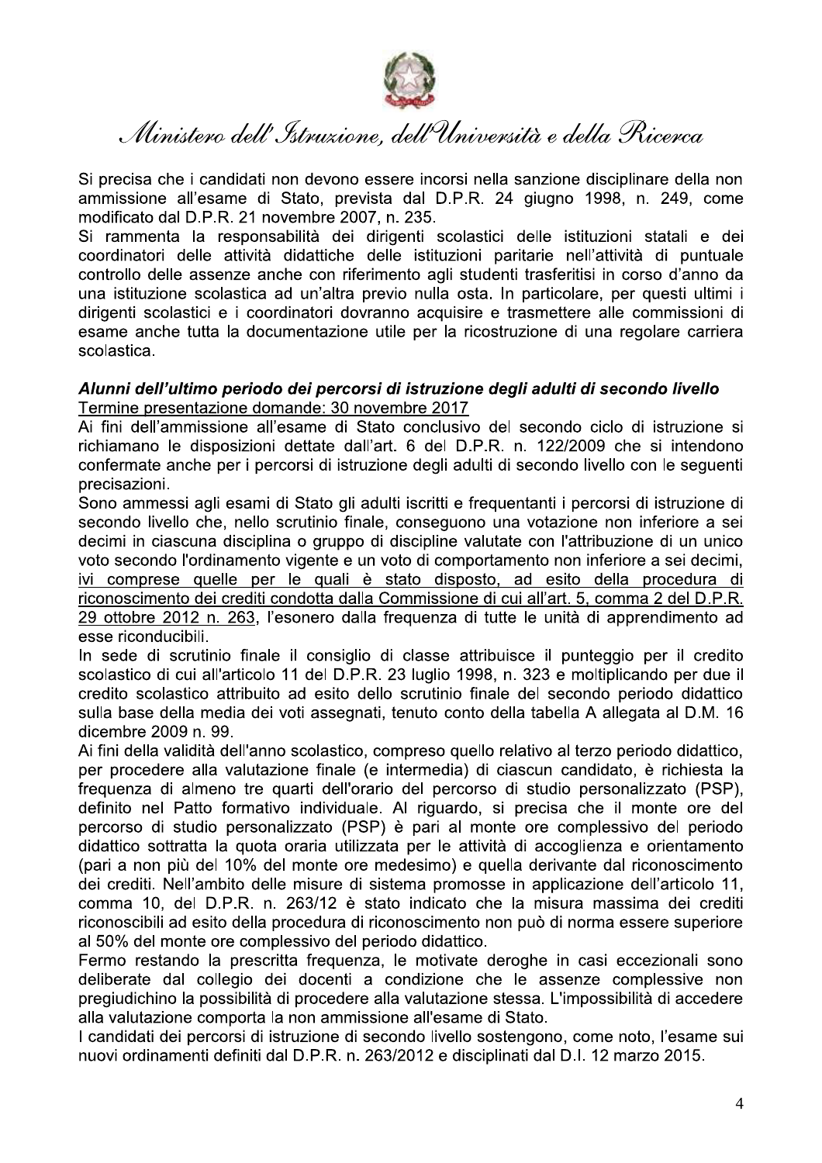

Si precisa che i candidati non devono essere incorsi nella sanzione disciplinare della non ammissione all'esame di Stato, prevista dal D.P.R. 24 giugno 1998, n. 249, come modificato dal D.P.R. 21 novembre 2007, n. 235.

Si rammenta la responsabilità dei dirigenti scolastici delle istituzioni statali e dei coordinatori delle attività didattiche delle istituzioni paritarie nell'attività di puntuale controllo delle assenze anche con riferimento agli studenti trasferitisi in corso d'anno da una istituzione scolastica ad un'altra previo nulla osta. In particolare, per questi ultimi i dirigenti scolastici e i coordinatori dovranno acquisire e trasmettere alle commissioni di esame anche tutta la documentazione utile per la ricostruzione di una regolare carriera scolastica.

### Alunni dell'ultimo periodo dei percorsi di istruzione degli adulti di secondo livello Termine presentazione domande: 30 novembre 2017

Ai fini dell'ammissione all'esame di Stato conclusivo del secondo ciclo di istruzione si richiamano le disposizioni dettate dall'art. 6 del D.P.R. n. 122/2009 che si intendono confermate anche per i percorsi di istruzione degli adulti di secondo livello con le seguenti precisazioni.

Sono ammessi agli esami di Stato gli adulti iscritti e frequentanti i percorsi di istruzione di secondo livello che, nello scrutinio finale, conseguono una votazione non inferiore a sei decimi in ciascuna disciplina o gruppo di discipline valutate con l'attribuzione di un unico voto secondo l'ordinamento vigente e un voto di comportamento non inferiore a sei decimi, ivi comprese quelle per le quali è stato disposto, ad esito della procedura di riconoscimento dei crediti condotta dalla Commissione di cui all'art. 5, comma 2 del D.P.R. 29 ottobre 2012 n. 263, l'esonero dalla frequenza di tutte le unità di apprendimento ad esse riconducibili.

In sede di scrutinio finale il consiglio di classe attribuisce il punteggio per il credito scolastico di cui all'articolo 11 del D.P.R. 23 luglio 1998, n. 323 e moltiplicando per due il credito scolastico attribuito ad esito dello scrutinio finale del secondo periodo didattico sulla base della media dei voti assegnati, tenuto conto della tabella A allegata al D.M. 16 dicembre 2009 n. 99.

Ai fini della validità dell'anno scolastico, compreso quello relativo al terzo periodo didattico, per procedere alla valutazione finale (e intermedia) di ciascun candidato, è richiesta la frequenza di almeno tre quarti dell'orario del percorso di studio personalizzato (PSP), definito nel Patto formativo individuale. Al riguardo, si precisa che il monte ore del percorso di studio personalizzato (PSP) è pari al monte ore complessivo del periodo didattico sottratta la quota oraria utilizzata per le attività di accoglienza e orientamento (pari a non più del 10% del monte ore medesimo) e quella derivante dal riconoscimento dei crediti. Nell'ambito delle misure di sistema promosse in applicazione dell'articolo 11, comma 10, del D.P.R. n. 263/12 è stato indicato che la misura massima dei crediti riconoscibili ad esito della procedura di riconoscimento non può di norma essere superiore al 50% del monte ore complessivo del periodo didattico.

Fermo restando la prescritta frequenza. le motivate deroghe in casi eccezionali sono deliberate dal collegio dei docenti a condizione che le assenze complessive non pregiudichino la possibilità di procedere alla valutazione stessa. L'impossibilità di accedere alla valutazione comporta la non ammissione all'esame di Stato.

I candidati dei percorsi di istruzione di secondo livello sostengono, come noto, l'esame sui nuovi ordinamenti definiti dal D.P.R. n. 263/2012 e disciplinati dal D.I. 12 marzo 2015.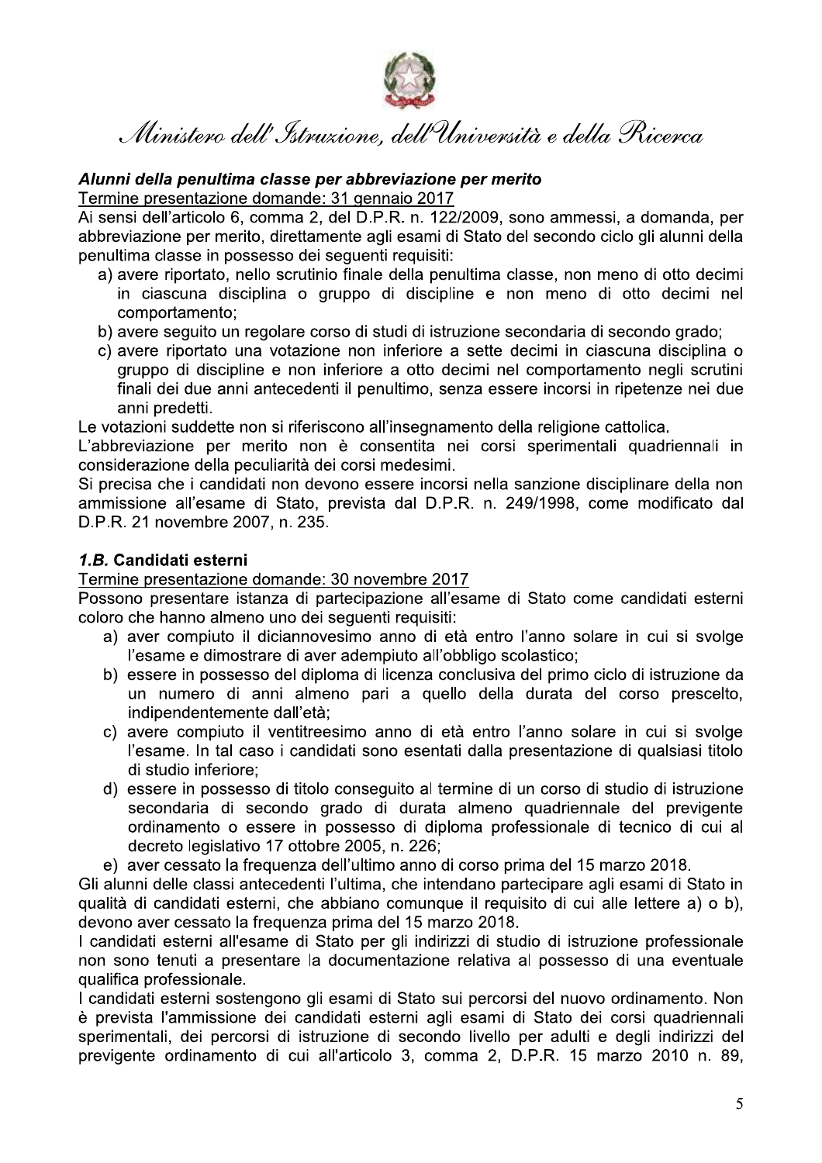

-- 
- -- -

Ministero dell'*Struxione*, dell'Università e della Ricerca<br> **Alunni della penultima classe per abbreviazione per merito**<br>
Termine presentazione domande: 31 gennaio 2017<br>
Ai sensi dell'articolo 6, comma 2, del D.P.R. n. 12

- 
- 
- gruppo di discipline e non inferiore a otto decimi nel comportamento negli scrutini finali dei due anni antecedenti il penultimo, senza essere incorsi in ripetenze nei due anni predetti.

Le votazioni suddette non si riferiscono all'insegnamento della religione cattolica.

L'abbreviazione per merito non è consentita nei corsi sperimentali quadriennali in considerazione della peculiarità dei corsi medesimi.

Si precisa che i candidati non devono essere incorsi nella sanzione disciplinare della non ammissione all'esame di Stato, prevista dal D.P.R. n. 249/1998, come modificato dal D.P.R. 21 novembre 2007. n. 235.

### 2 *1.B.* Candidati esterni

Termine presentazione domande: 30 novembre 2017

Possono presentare istanza di partecipazione all'esame di Stato come candidati esterni coloro che hanno almeno uno dei seguenti requisiti:

- a) aver compiuto il diciannovesimo anno di età entro l'anno solare in cui si svolge l'esame e dimostrare di aver adempiuto all'obbligo scolastico;
- b) essere in possesso del diploma di licenza conclusiva del primo ciclo di istruzione da un numero di anni almeno pari a quello della durata del corso prescelto. indipendentemente dall'età:
- c) avere compiuto il ventitreesimo anno di età entro l'anno solare in cui si svolge l'esame. In tal caso i candidati sono esentati dalla presentazione di qualsiasi titolo di studio inferiore:
- d) essere in possesso di titolo conseguito al termine di un corso di studio di istruzione secondaria di secondo grado di durata almeno quadriennale del previgente ordinamento o essere in possesso di diploma professionale di tecnico di cui al decreto legislativo 17 ottobre 2005, n. 226;
- e) aver cessato la frequenza dell'ultimo anno di corso prima del 15 marzo 2018.

Gli alunni delle classi antecedenti l'ultima, che intendano partecipare agli esami di Stato in qualità di candidati esterni, che abbiano comunque il requisito di cui alle lettere a) o b). devono aver cessato la frequenza prima del 15 marzo 2018.

I candidati esterni all'esame di Stato per gli indirizzi di studio di istruzione professionale non sono tenuti a presentare la documentazione relativa al possesso di una eventuale qualifica professionale.

1 candidati esterni sostengono gli esami di Stato sui percorsi del nuovo ordinamento. Non è prevista l'ammissione dei candidati esterni agli esami di Stato dei corsi quadriennali sperimentali, dei percorsi di istruzione di secondo livello per adulti e degli indirizzi del previgente ordinamento di cui all'articolo 3, comma 2, D.P.R. 15 marzo 2010 n. 89,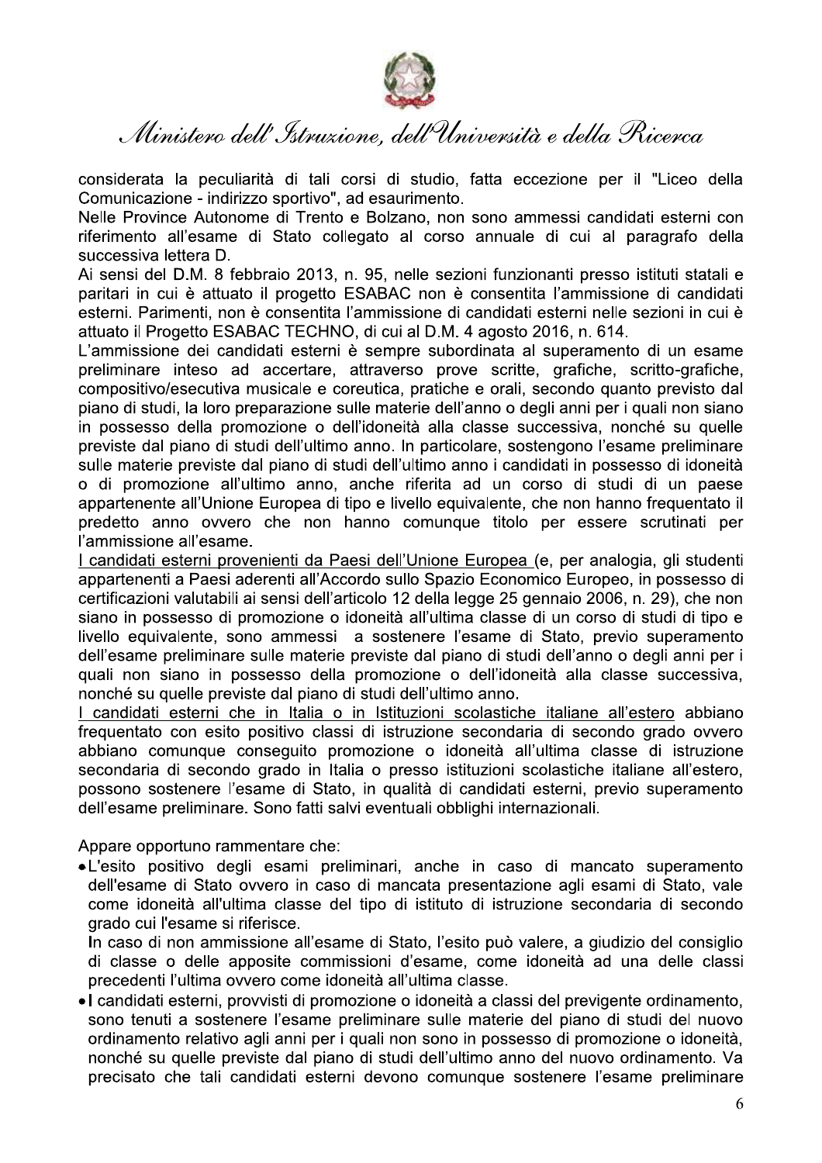

Ministero dell'Istruzione, dell'Università e della Ricerca

considerata la peculiarità di tali corsi di studio, fatta eccezione per il "Liceo della Comunicazione - indirizzo sportivo", ad esaurimento.

Nelle Province Autonome di Trento e Bolzano, non sono ammessi candidati esterni con riferimento all'esame di Stato collegato al corso annuale di cui al paragrafo della successiva lettera D.

Ai sensi del D.M. 8 febbraio 2013, n. 95, nelle sezioni funzionanti presso istituti statali e paritari in cui è attuato il progetto ESABAC non è consentita l'ammissione di candidati esterni. Parimenti, non è consentita l'ammissione di candidati esterni nelle sezioni in cui è attuato il Progetto ESABAC TECHNO, di cui al D.M. 4 agosto 2016, n. 614.

L'ammissione dei candidati esterni è sempre subordinata al superamento di un esame preliminare inteso ad accertare, attraverso prove scritte, grafiche, scritto-grafiche, compositivo/esecutiva musicale e coreutica, pratiche e orali, secondo quanto previsto dal piano di studi, la loro preparazione sulle materie dell'anno o degli anni per i quali non siano in possesso della promozione o dell'idoneità alla classe successiva, nonché su quelle previste dal piano di studi dell'ultimo anno. In particolare, sostengono l'esame preliminare sulle materie previste dal piano di studi dell'ultimo anno i candidati in possesso di idoneità o di promozione all'ultimo anno, anche riferita ad un corso di studi di un paese appartenente all'Unione Europea di tipo e livello equivalente, che non hanno frequentato il predetto anno ovvero che non hanno comunque titolo per essere scrutinati per l'ammissione all'esame.

I candidati esterni provenienti da Paesi dell'Unione Europea (e, per analogia, gli studenti appartenenti a Paesi aderenti all'Accordo sullo Spazio Economico Europeo, in possesso di certificazioni valutabili ai sensi dell'articolo 12 della legge 25 gennaio 2006, n. 29), che non siano in possesso di promozione o idoneità all'ultima classe di un corso di studi di tipo e livello equivalente, sono ammessi a sostenere l'esame di Stato, previo superamento dell'esame preliminare sulle materie previste dal piano di studi dell'anno o degli anni per i quali non siano in possesso della promozione o dell'idoneità alla classe successiva. nonché su quelle previste dal piano di studi dell'ultimo anno.

I candidati esterni che in Italia o in Istituzioni scolastiche italiane all'estero abbiano frequentato con esito positivo classi di istruzione secondaria di secondo grado ovvero abbiano comunque consequito promozione o idoneità all'ultima classe di istruzione secondaria di secondo grado in Italia o presso istituzioni scolastiche italiane all'estero, possono sostenere l'esame di Stato, in qualità di candidati esterni, previo superamento dell'esame preliminare. Sono fatti salvi eventuali obblighi internazionali.

Appare opportuno rammentare che:

•L'esito positivo degli esami preliminari, anche in caso di mancato superamento dell'esame di Stato ovvero in caso di mancata presentazione agli esami di Stato, vale come idoneità all'ultima classe del tipo di istituto di istruzione secondaria di secondo grado cui l'esame si riferisce.

In caso di non ammissione all'esame di Stato, l'esito può valere, a giudizio del consiglio di classe o delle apposite commissioni d'esame, come idoneità ad una delle classi precedenti l'ultima ovvero come idoneità all'ultima classe.

• I candidati esterni, provvisti di promozione o idoneità a classi del previgente ordinamento, sono tenuti a sostenere l'esame preliminare sulle materie del piano di studi del nuovo ordinamento relativo agli anni per i quali non sono in possesso di promozione o idoneità. nonché su quelle previste dal piano di studi dell'ultimo anno del nuovo ordinamento. Va precisato che tali candidati esterni devono comunque sostenere l'esame preliminare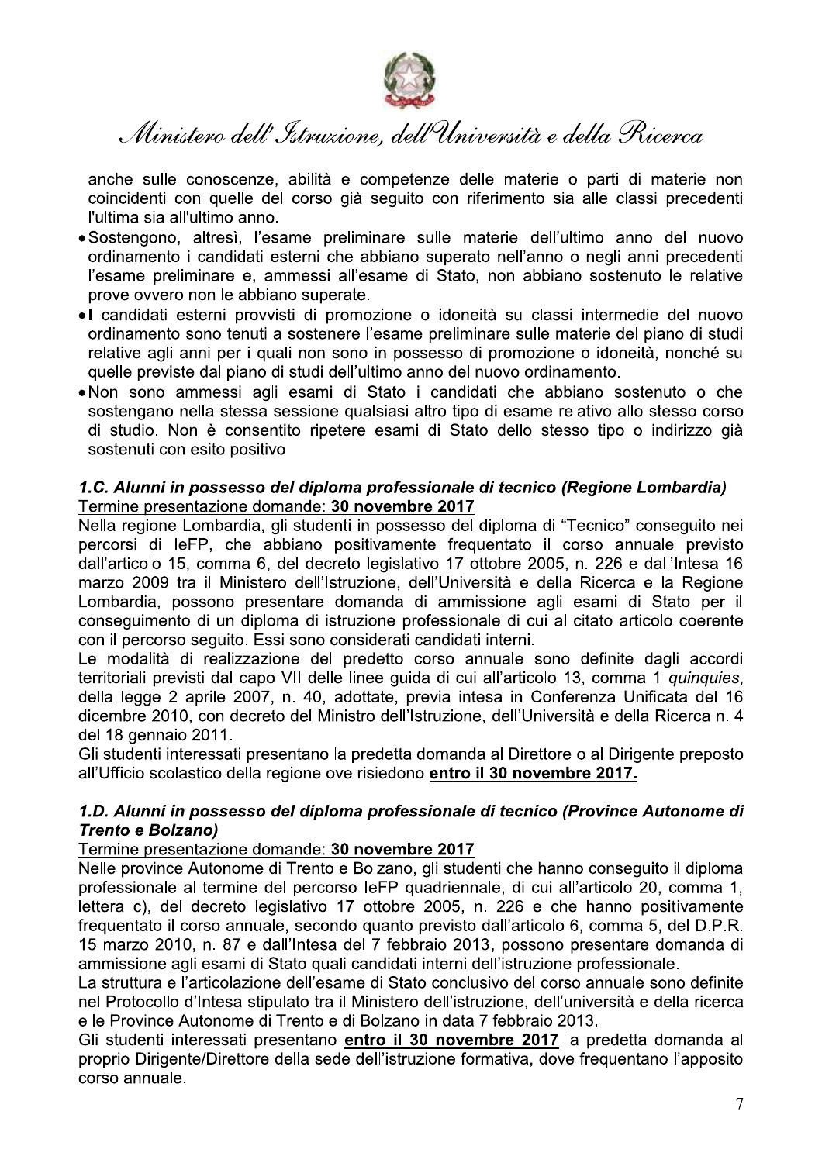

anche sulle conoscenze, abilità e competenze delle materie o parti di materie non coincidenti con quelle del corso già seguito con riferimento sia alle classi precedenti l'ultima sia all'ultimo anno.

- Sostengono, altresì, l'esame preliminare sulle materie dell'ultimo anno del nuovo ordinamento i candidati esterni che abbiano superato nell'anno o negli anni precedenti l'esame preliminare e, ammessi all'esame di Stato, non abbiano sostenuto le relative prove ovvero non le abbiano superate.
- I candidati esterni provvisti di promozione o idoneità su classi intermedie del nuovo ordinamento sono tenuti a sostenere l'esame preliminare sulle materie del piano di studi relative agli anni per i quali non sono in possesso di promozione o idoneità, nonché su quelle previste dal piano di studi dell'ultimo anno del nuovo ordinamento.
- •Non sono ammessi agli esami di Stato i candidati che abbiano sostenuto o che sostengano nella stessa sessione qualsiasi altro tipo di esame relativo allo stesso corso di studio. Non è consentito ripetere esami di Stato dello stesso tipo o indirizzo già sostenuti con esito positivo

## 1.C. Alunni in possesso del diploma professionale di tecnico (Regione Lombardia) Termine presentazione domande: 30 novembre 2017

Nella regione Lombardia, gli studenti in possesso del diploma di "Tecnico" conseguito nei percorsi di IeFP, che abbiano positivamente frequentato il corso annuale previsto dall'articolo 15, comma 6, del decreto legislativo 17 ottobre 2005, n. 226 e dall'Intesa 16 marzo 2009 tra il Ministero dell'Istruzione, dell'Università e della Ricerca e la Regione Lombardia, possono presentare domanda di ammissione agli esami di Stato per il conseguimento di un diploma di istruzione professionale di cui al citato articolo coerente con il percorso seguito. Essi sono considerati candidati interni.

Le modalità di realizzazione del predetto corso annuale sono definite dagli accordi territoriali previsti dal capo VII delle linee quida di cui all'articolo 13, comma 1 quinquies, della legge 2 aprile 2007, n. 40, adottate, previa intesa in Conferenza Unificata del 16 dicembre 2010, con decreto del Ministro dell'Istruzione, dell'Università e della Ricerca n. 4 del 18 gennaio 2011.

Gli studenti interessati presentano la predetta domanda al Direttore o al Dirigente preposto all'Ufficio scolastico della regione ove risiedono entro il 30 novembre 2017.

# 1.D. Alunni in possesso del diploma professionale di tecnico (Province Autonome di **Trento e Bolzano)**

## Termine presentazione domande: 30 novembre 2017

Nelle province Autonome di Trento e Bolzano, gli studenti che hanno conseguito il diploma professionale al termine del percorso leFP quadriennale, di cui all'articolo 20, comma 1, lettera c), del decreto legislativo 17 ottobre 2005, n. 226 e che hanno positivamente frequentato il corso annuale, secondo quanto previsto dall'articolo 6, comma 5, del D.P.R. 15 marzo 2010, n. 87 e dall'Intesa del 7 febbraio 2013, possono presentare domanda di ammissione agli esami di Stato quali candidati interni dell'istruzione professionale.

La struttura e l'articolazione dell'esame di Stato conclusivo del corso annuale sono definite nel Protocollo d'Intesa stipulato tra il Ministero dell'istruzione, dell'università e della ricerca e le Province Autonome di Trento e di Bolzano in data 7 febbraio 2013.

Gli studenti interessati presentano entro il 30 novembre 2017 la predetta domanda al proprio Dirigente/Direttore della sede dell'istruzione formativa, dove frequentano l'apposito corso annuale.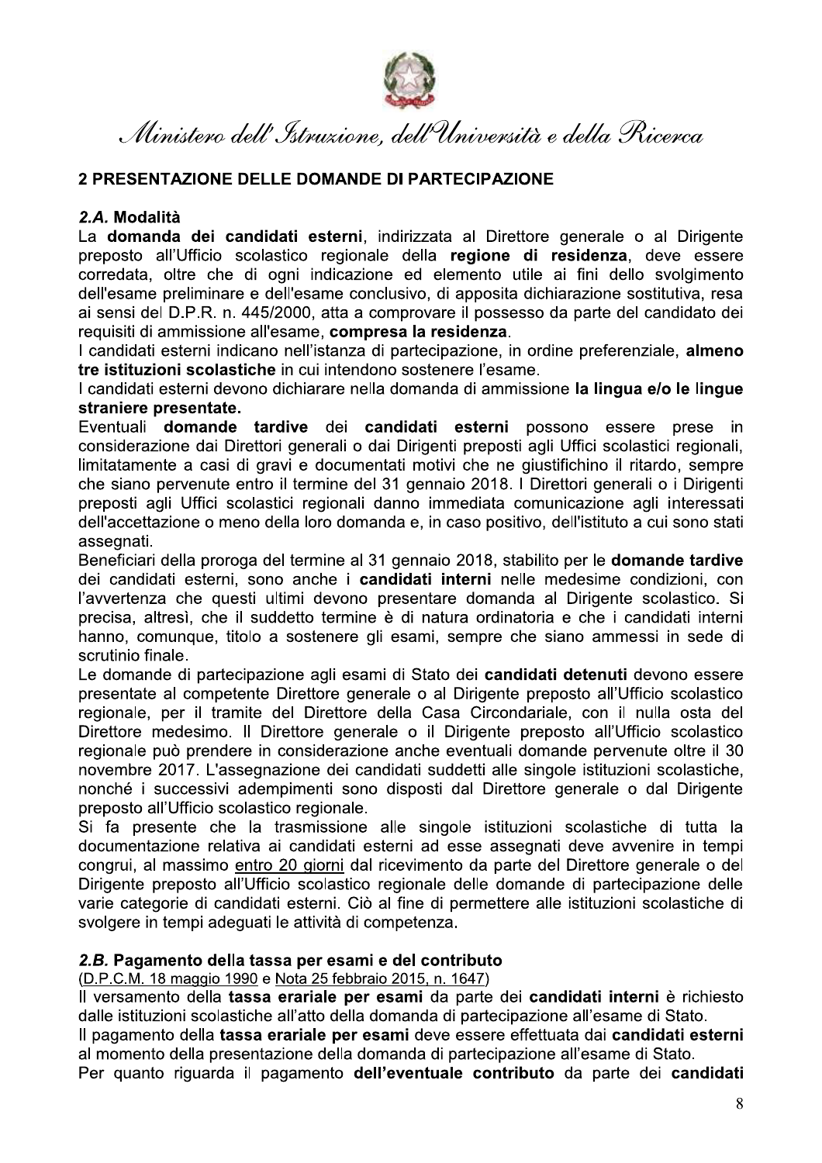

-- 
- -- -

*Ministero dell' Jstruzione, dell'Università e a*<br> **2 PRESENTAZIONE DELLE DOMANDE DI PARTECIPAZIONE**<br> **2.A. Modalità**<br> **La domanda dei candidati esterni**, indirizzata al Direttore g<br>
preposto all'Ufficio scolastico regiona Ministero dell'Istruzione, dell'Università e della Ricerca<br>2 PRESENTAZIONE DELLE DOMANDE DI PARTECIPAZIONE<br>2.A. Modalità<br>La domanda dei candidati esterni, indirizzata al Direttore generale o al Dirigente<br>preposto all'Uffic

straniere presentate.

Eventuali **domande tardive** dei **candidati esterni** possono essere prese in considerazione dai Direttori generali o dai Dirigenti preposti agli Uffici scolastici regionali, limitatamente a casi di gravi e documentati motivi che ne giustifichino il ritardo, sempre che siano pervenute entro il termine del 31 gennaio 2018. I Direttori generali o i Dirigenti preposti agli Uffici scolastici regionali danno immediata comunicazione agli interessati dell'accettazione o meno della loro domanda e, in caso positivo, dell'istituto a cui sono stati assegnati.

Beneficiari della proroga del termine al 31 gennaio 2018, stabilito per le **domande tardive** dei candidati esterni, sono anche i candidati interni nelle medesime condizioni, con l'avvertenza che questi ultimi devono presentare domanda al Dirigente scolastico. Si precisa, altresì, che il suddetto termine è di natura ordinatoria e che i candidati interni hanno, comunque, titolo a sostenere gli esami, sempre che siano ammessi in sede di scrutinio finale.

Le domande di partecipazione agli esami di Stato dei **candidati detenuti** devono essere presentate al competente Direttore generale o al Dirigente preposto all'Ufficio scolastico regionale, per il tramite del Direttore della Casa Circondariale, con il nulla osta del Direttore medesimo. Il Direttore generale o il Dirigente preposto all'Ufficio scolastico regionale può prendere in considerazione anche eventuali domande pervenute oltre il 30 novembre 2017. L'assegnazione dei candidati suddetti alle singole istituzioni scolastiche, nonché i successivi adempimenti sono disposti dal Direttore generale o dal Dirigente preposto all'Ufficio scolastico regionale.

Si fa presente che la trasmissione alle singole istituzioni scolastiche di tutta la documentazione relativa ai candidati esterni ad esse assegnati deve avvenire in tempi congrui, al massimo entro 20 giorni dal ricevimento da parte del Direttore generale o del Dirigente preposto all'Ufficio scolastico regionale delle domande di partecipazione delle varie categorie di candidati esterni. Ciò al fine di permettere alle istituzioni scolastiche di svolgere in tempi adeguati le attività di competenza.

### 5 2.B. Pagamento della tassa per esami e del contributo

(D.P.C.M. 18 maggio 1990 e Nota 25 febbraio 2015, n. 1647)

Il versamento della tassa erariale per esami da parte dei candidati interni è richiesto dalle istituzioni scolastiche all'atto della domanda di partecipazione all'esame di Stato. Il pagamento della tassa erariale per esami deve essere effettuata dai candidati esterni al momento della presentazione della domanda di partecipazione all'esame di Stato.

Per quanto riguarda il pagamento dell'eventuale contributo da parte dei candidati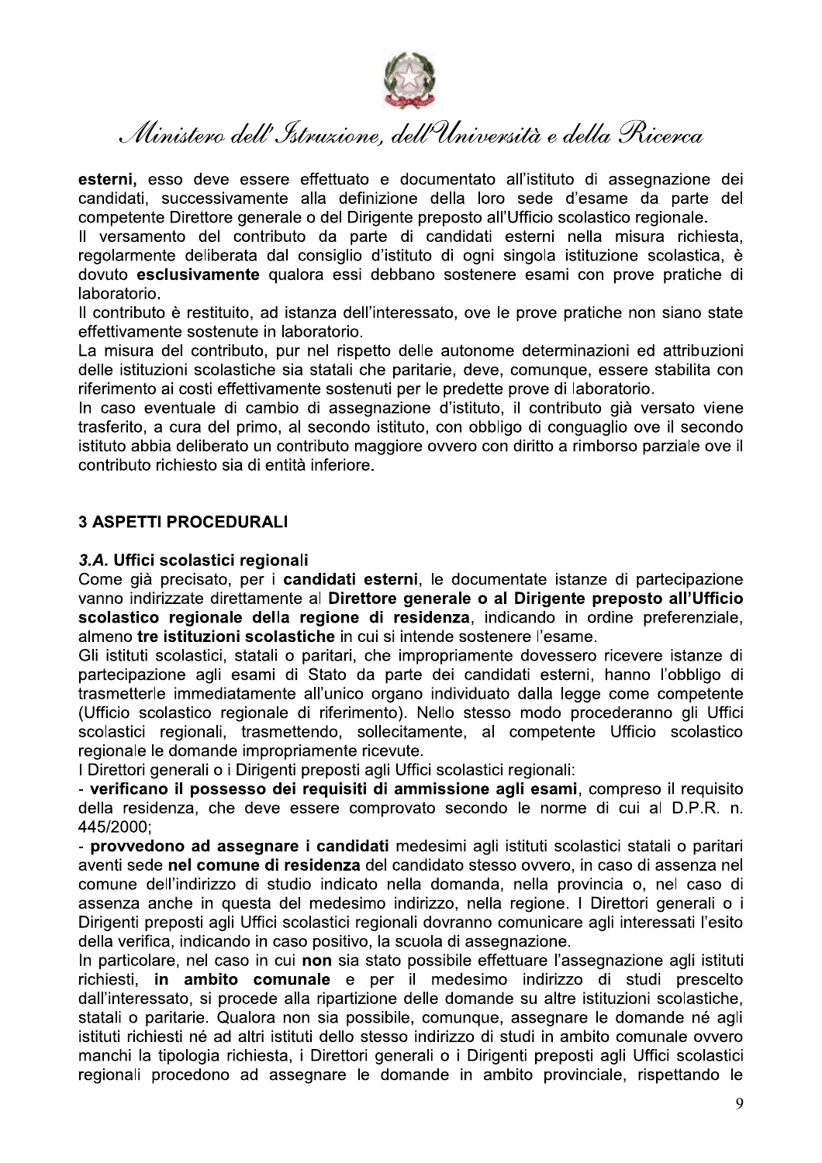

esterni, esso deve essere effettuato e documentato all'istituto di assegnazione dei candidati, successivamente alla definizione della loro sede d'esame da parte del competente Direttore generale o del Dirigente preposto all'Ufficio scolastico regionale.

Il versamento del contributo da parte di candidati esterni nella misura richiesta. regolarmente deliberata dal consiglio d'istituto di ogni singola istituzione scolastica, è dovuto esclusivamente qualora essi debbano sostenere esami con prove pratiche di laboratorio.

Il contributo è restituito, ad istanza dell'interessato, ove le prove pratiche non siano state effettivamente sostenute in laboratorio.

La misura del contributo, pur nel rispetto delle autonome determinazioni ed attribuzioni delle istituzioni scolastiche sia statali che paritarie, deve, comunque, essere stabilita con riferimento ai costi effettivamente sostenuti per le predette prove di laboratorio.

In caso eventuale di cambio di assegnazione d'istituto, il contributo già versato viene trasferito, a cura del primo, al secondo istituto, con obbligo di conguaglio ove il secondo istituto abbia deliberato un contributo maggiore ovvero con diritto a rimborso parziale ove il contributo richiesto sia di entità inferiore.

# **3 ASPETTI PROCEDURALI**

### 3.A. Uffici scolastici regionali

Come già precisato, per i candidati esterni, le documentate istanze di partecipazione vanno indirizzate direttamente al Direttore generale o al Dirigente preposto all'Ufficio scolastico regionale della regione di residenza, indicando in ordine preferenziale, almeno tre istituzioni scolastiche in cui si intende sostenere l'esame.

Gli istituti scolastici, statali o paritari, che impropriamente dovessero ricevere istanze di partecipazione agli esami di Stato da parte dei candidati esterni, hanno l'obbligo di trasmetterle immediatamente all'unico organo individuato dalla legge come competente (Ufficio scolastico regionale di riferimento). Nello stesso modo procederanno gli Uffici scolastici regionali, trasmettendo, sollecitamente, al competente Ufficio scolastico regionale le domande impropriamente ricevute.

I Direttori generali o i Dirigenti preposti agli Uffici scolastici regionali:

- verificano il possesso dei requisiti di ammissione agli esami, compreso il requisito della residenza, che deve essere comprovato secondo le norme di cui al D.P.R. n. 445/2000:

- provvedono ad assegnare i candidati medesimi agli istituti scolastici statali o paritari aventi sede nel comune di residenza del candidato stesso ovvero, in caso di assenza nel comune dell'indirizzo di studio indicato nella domanda, nella provincia o, nel caso di assenza anche in questa del medesimo indirizzo, nella regione. I Direttori generali o i Dirigenti preposti agli Uffici scolastici regionali dovranno comunicare agli interessati l'esito della verifica, indicando in caso positivo, la scuola di assegnazione.

In particolare, nel caso in cui non sia stato possibile effettuare l'assegnazione agli istituti richiesti, in ambito comunale e per il medesimo indirizzo di studi prescelto dall'interessato, si procede alla ripartizione delle domande su altre istituzioni scolastiche, statali o paritarie. Qualora non sia possibile, comunque, assegnare le domande né agli istituti richiesti né ad altri istituti dello stesso indirizzo di studi in ambito comunale ovvero manchi la tipologia richiesta, i Direttori generali o i Dirigenti preposti agli Uffici scolastici regionali procedono ad assegnare le domande in ambito provinciale, rispettando le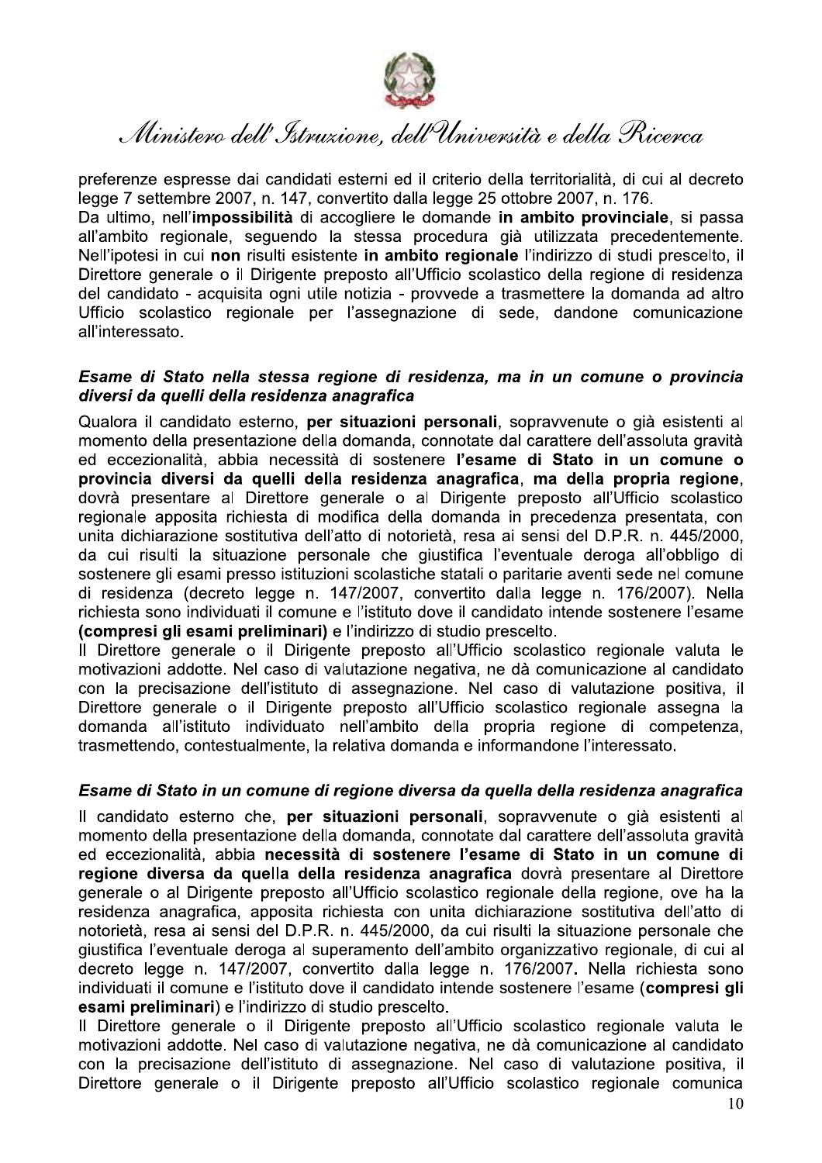

preferenze espresse dai candidati esterni ed il criterio della territorialità, di cui al decreto legge 7 settembre 2007, n. 147, convertito dalla legge 25 ottobre 2007, n. 176.

Da ultimo, nell'impossibilità di accogliere le domande in ambito provinciale, si passa all'ambito regionale, seguendo la stessa procedura già utilizzata precedentemente. Nell'ipotesi in cui non risulti esistente in ambito regionale l'indirizzo di studi prescelto, il Direttore generale o il Dirigente preposto all'Ufficio scolastico della regione di residenza del candidato - acquisita ogni utile notizia - provvede a trasmettere la domanda ad altro Ufficio scolastico regionale per l'assegnazione di sede, dandone comunicazione all'interessato.

### Esame di Stato nella stessa regione di residenza, ma in un comune o provincia diversi da quelli della residenza anagrafica

Qualora il candidato esterno, per situazioni personali, sopravvenute o già esistenti al momento della presentazione della domanda, connotate dal carattere dell'assoluta gravità ed eccezionalità, abbia necessità di sostenere l'esame di Stato in un comune o provincia diversi da quelli della residenza anagrafica, ma della propria regione, dovrà presentare al Direttore generale o al Dirigente preposto all'Ufficio scolastico regionale apposita richiesta di modifica della domanda in precedenza presentata, con unita dichiarazione sostitutiva dell'atto di notorietà, resa ai sensi del D.P.R. n. 445/2000, da cui risulti la situazione personale che giustifica l'eventuale deroga all'obbligo di sostenere gli esami presso istituzioni scolastiche statali o paritarie aventi sede nel comune di residenza (decreto legge n. 147/2007, convertito dalla legge n. 176/2007). Nella richiesta sono individuati il comune e l'istituto dove il candidato intende sostenere l'esame (compresi gli esami preliminari) e l'indirizzo di studio prescelto.

Il Direttore generale o il Dirigente preposto all'Ufficio scolastico regionale valuta le motivazioni addotte. Nel caso di valutazione negativa, ne dà comunicazione al candidato con la precisazione dell'istituto di assegnazione. Nel caso di valutazione positiva. il Direttore generale o il Dirigente preposto all'Ufficio scolastico regionale assegna la domanda all'istituto individuato nell'ambito della propria regione di competenza, trasmettendo, contestualmente, la relativa domanda e informandone l'interessato.

## Esame di Stato in un comune di regione diversa da quella della residenza anagrafica

Il candidato esterno che, per situazioni personali, sopravvenute o già esistenti al momento della presentazione della domanda, connotate dal carattere dell'assoluta gravità ed eccezionalità, abbia necessità di sostenere l'esame di Stato in un comune di regione diversa da quella della residenza anagrafica dovrà presentare al Direttore generale o al Dirigente preposto all'Ufficio scolastico regionale della regione, ove ha la residenza anagrafica, apposita richiesta con unita dichiarazione sostitutiva dell'atto di notorietà, resa ai sensi del D.P.R. n. 445/2000, da cui risulti la situazione personale che giustifica l'eventuale deroga al superamento dell'ambito organizzativo regionale, di cui al decreto legge n. 147/2007, convertito dalla legge n. 176/2007. Nella richiesta sono individuati il comune e l'istituto dove il candidato intende sostenere l'esame (compresi gli esami preliminari) e l'indirizzo di studio prescelto.

Il Direttore generale o il Dirigente preposto all'Ufficio scolastico regionale valuta le motivazioni addotte. Nel caso di valutazione negativa, ne dà comunicazione al candidato con la precisazione dell'istituto di assegnazione. Nel caso di valutazione positiva, il Direttore generale o il Dirigente preposto all'Ufficio scolastico regionale comunica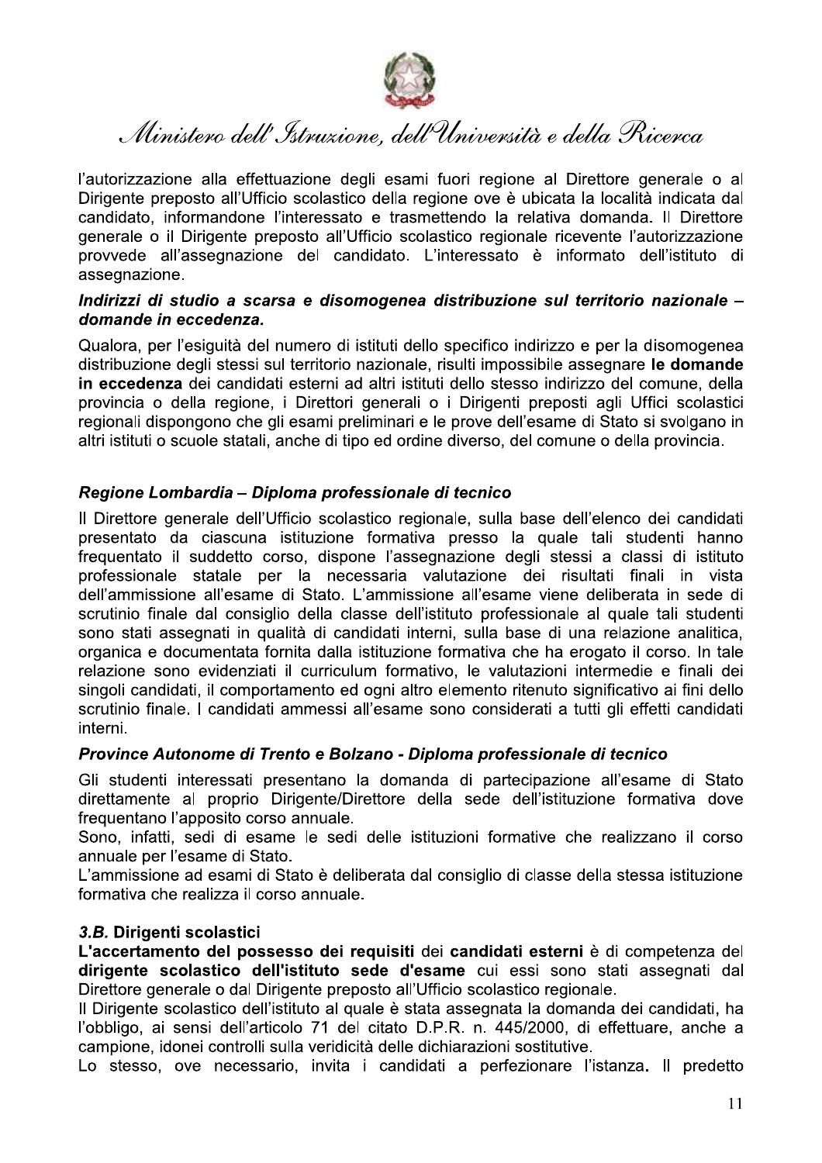

l'autorizzazione alla effettuazione degli esami fuori regione al Direttore generale o al Dirigente preposto all'Ufficio scolastico della regione ove è ubicata la località indicata dal candidato, informandone l'interessato e trasmettendo la relativa domanda. Il Direttore generale o il Dirigente preposto all'Ufficio scolastico regionale ricevente l'autorizzazione provvede all'assegnazione del candidato. L'interessato è informato dell'istituto di assegnazione.

## Indirizzi di studio a scarsa e disomogenea distribuzione sul territorio nazionale domande in eccedenza.

Qualora, per l'esiguità del numero di istituti dello specifico indirizzo e per la disomogenea distribuzione degli stessi sul territorio nazionale, risulti impossibile assegnare le domande in eccedenza dei candidati esterni ad altri istituti dello stesso indirizzo del comune, della provincia o della regione, i Direttori generali o i Dirigenti preposti agli Uffici scolastici regionali dispongono che gli esami preliminari e le prove dell'esame di Stato si svolgano in altri istituti o scuole statali, anche di tipo ed ordine diverso, del comune o della provincia.

# Regione Lombardia - Diploma professionale di tecnico

Il Direttore generale dell'Ufficio scolastico regionale, sulla base dell'elenco dei candidati presentato da ciascuna istituzione formativa presso la quale tali studenti hanno frequentato il suddetto corso, dispone l'assegnazione degli stessi a classi di istituto professionale statale per la necessaria valutazione dei risultati finali in vista dell'ammissione all'esame di Stato. L'ammissione all'esame viene deliberata in sede di scrutinio finale dal consiglio della classe dell'istituto professionale al quale tali studenti sono stati assegnati in qualità di candidati interni, sulla base di una relazione analitica, organica e documentata fornita dalla istituzione formativa che ha erogato il corso. In tale relazione sono evidenziati il curriculum formativo, le valutazioni intermedie e finali dei singoli candidati, il comportamento ed ogni altro elemento ritenuto significativo ai fini dello scrutinio finale. I candidati ammessi all'esame sono considerati a tutti gli effetti candidati interni.

## Province Autonome di Trento e Bolzano - Diploma professionale di tecnico

Gli studenti interessati presentano la domanda di partecipazione all'esame di Stato direttamente al proprio Dirigente/Direttore della sede dell'istituzione formativa dove frequentano l'apposito corso annuale.

Sono, infatti, sedi di esame le sedi delle istituzioni formative che realizzano il corso annuale per l'esame di Stato.

L'ammissione ad esami di Stato è deliberata dal consiglio di classe della stessa istituzione formativa che realizza il corso annuale.

# 3.B. Dirigenti scolastici

L'accertamento del possesso dei requisiti dei candidati esterni è di competenza del dirigente scolastico dell'istituto sede d'esame cui essi sono stati assegnati dal Direttore generale o dal Dirigente preposto all'Ufficio scolastico regionale.

Il Dirigente scolastico dell'istituto al guale è stata assegnata la domanda dei candidati, ha l'obbligo, ai sensi dell'articolo 71 del citato D.P.R. n. 445/2000, di effettuare, anche a campione, idonei controlli sulla veridicità delle dichiarazioni sostitutive.

Lo stesso, ove necessario, invita i candidati a perfezionare l'istanza. Il predetto